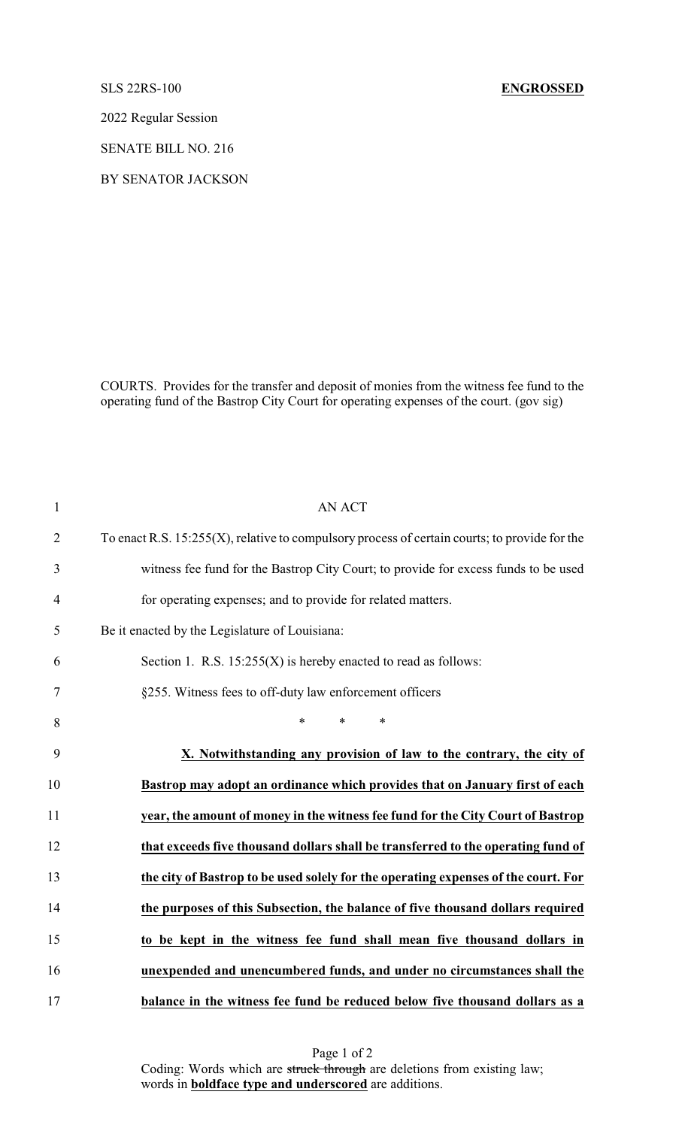### SLS 22RS-100 **ENGROSSED**

2022 Regular Session

SENATE BILL NO. 216

BY SENATOR JACKSON

COURTS. Provides for the transfer and deposit of monies from the witness fee fund to the operating fund of the Bastrop City Court for operating expenses of the court. (gov sig)

| $\mathbf{1}$   | <b>AN ACT</b>                                                                                    |
|----------------|--------------------------------------------------------------------------------------------------|
| $\overline{2}$ | To enact R.S. $15:255(X)$ , relative to compulsory process of certain courts; to provide for the |
| 3              | witness fee fund for the Bastrop City Court; to provide for excess funds to be used              |
| $\overline{4}$ | for operating expenses; and to provide for related matters.                                      |
| 5              | Be it enacted by the Legislature of Louisiana:                                                   |
| 6              | Section 1. R.S. $15:255(X)$ is hereby enacted to read as follows:                                |
| 7              | §255. Witness fees to off-duty law enforcement officers                                          |
| 8              | *<br>$\ast$<br>$\ast$                                                                            |
| 9              | X. Notwithstanding any provision of law to the contrary, the city of                             |
| 10             | Bastrop may adopt an ordinance which provides that on January first of each                      |
| 11             | year, the amount of money in the witness fee fund for the City Court of Bastrop                  |
| 12             | that exceeds five thousand dollars shall be transferred to the operating fund of                 |
| 13             | the city of Bastrop to be used solely for the operating expenses of the court. For               |
| 14             | the purposes of this Subsection, the balance of five thousand dollars required                   |
| 15             | to be kept in the witness fee fund shall mean five thousand dollars in                           |
| 16             | unexpended and unencumbered funds, and under no circumstances shall the                          |
| 17             | balance in the witness fee fund be reduced below five thousand dollars as a                      |

Page 1 of 2 Coding: Words which are struck through are deletions from existing law; words in **boldface type and underscored** are additions.